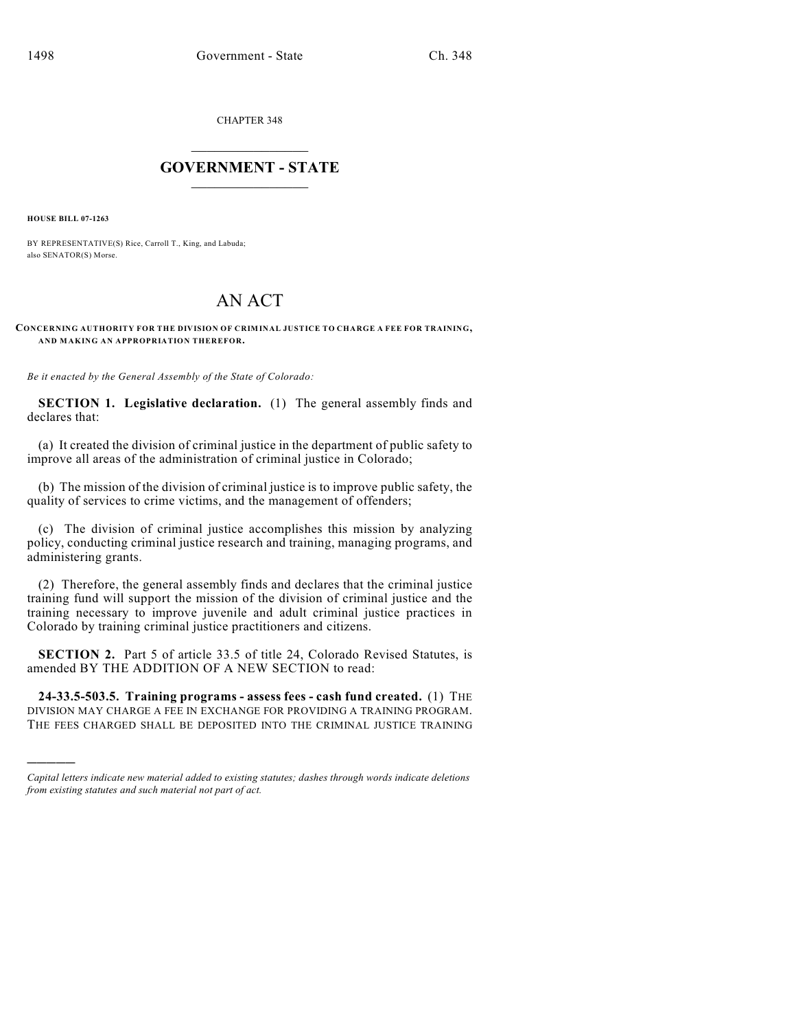CHAPTER 348

## $\overline{\phantom{a}}$  . The set of the set of the set of the set of the set of the set of the set of the set of the set of the set of the set of the set of the set of the set of the set of the set of the set of the set of the set o **GOVERNMENT - STATE**  $\_$

**HOUSE BILL 07-1263**

)))))

BY REPRESENTATIVE(S) Rice, Carroll T., King, and Labuda; also SENATOR(S) Morse.

## AN ACT

**CONCERNING AUTHORITY FOR THE DIVISION OF CRIMINAL JUSTICE TO CHARGE A FEE FOR TRAINING, AND MAKING AN APPROPRIATION THEREFOR.**

*Be it enacted by the General Assembly of the State of Colorado:*

**SECTION 1. Legislative declaration.** (1) The general assembly finds and declares that:

(a) It created the division of criminal justice in the department of public safety to improve all areas of the administration of criminal justice in Colorado;

(b) The mission of the division of criminal justice is to improve public safety, the quality of services to crime victims, and the management of offenders;

(c) The division of criminal justice accomplishes this mission by analyzing policy, conducting criminal justice research and training, managing programs, and administering grants.

(2) Therefore, the general assembly finds and declares that the criminal justice training fund will support the mission of the division of criminal justice and the training necessary to improve juvenile and adult criminal justice practices in Colorado by training criminal justice practitioners and citizens.

**SECTION 2.** Part 5 of article 33.5 of title 24, Colorado Revised Statutes, is amended BY THE ADDITION OF A NEW SECTION to read:

**24-33.5-503.5. Training programs - assess fees - cash fund created.** (1) THE DIVISION MAY CHARGE A FEE IN EXCHANGE FOR PROVIDING A TRAINING PROGRAM. THE FEES CHARGED SHALL BE DEPOSITED INTO THE CRIMINAL JUSTICE TRAINING

*Capital letters indicate new material added to existing statutes; dashes through words indicate deletions from existing statutes and such material not part of act.*